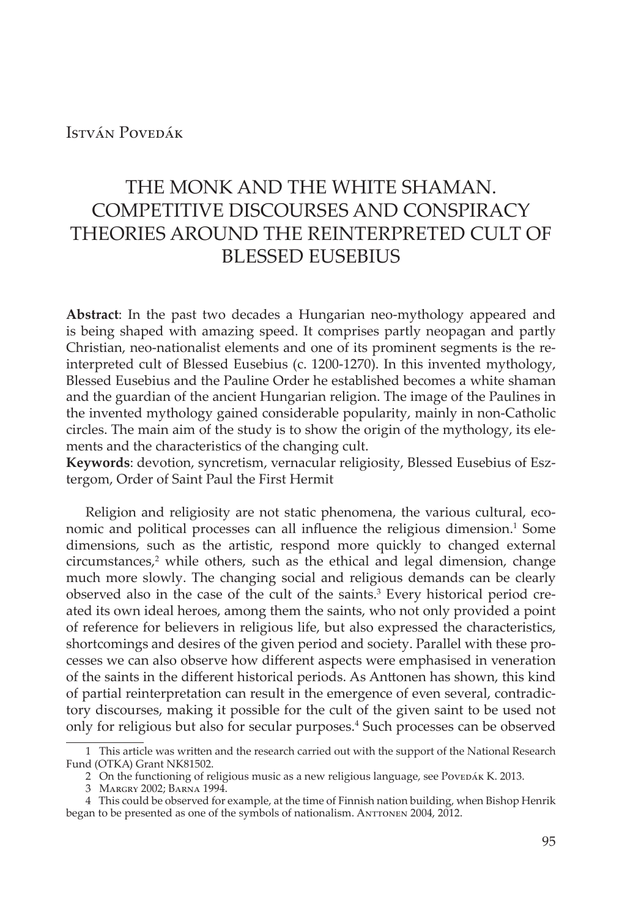## István Povedák

# THE MONK AND THE WHITE SHAMAN. COMPETITIVE DISCOURSES AND CONSPIRACY THEORIES AROUND THE REINTERPRETED CULT OF BLESSED EUSEBIUS

**Abstract**: In the past two decades a Hungarian neo-mythology appeared and is being shaped with amazing speed. It comprises partly neopagan and partly Christian, neo-nationalist elements and one of its prominent segments is the reinterpreted cult of Blessed Eusebius (c. 1200-1270). In this invented mythology, Blessed Eusebius and the Pauline Order he established becomes a white shaman and the guardian of the ancient Hungarian religion. The image of the Paulines in the invented mythology gained considerable popularity, mainly in non-Catholic circles. The main aim of the study is to show the origin of the mythology, its elements and the characteristics of the changing cult.

**Keywords**: devotion, syncretism, vernacular religiosity, Blessed Eusebius of Esztergom, Order of Saint Paul the First Hermit

Religion and religiosity are not static phenomena, the various cultural, economic and political processes can all influence the religious dimension.<sup>1</sup> Some dimensions, such as the artistic, respond more quickly to changed external circumstances,2 while others, such as the ethical and legal dimension, change much more slowly. The changing social and religious demands can be clearly observed also in the case of the cult of the saints.<sup>3</sup> Every historical period created its own ideal heroes, among them the saints, who not only provided a point of reference for believers in religious life, but also expressed the characteristics, shortcomings and desires of the given period and society. Parallel with these processes we can also observe how different aspects were emphasised in veneration of the saints in the different historical periods. As Anttonen has shown, this kind of partial reinterpretation can result in the emergence of even several, contradictory discourses, making it possible for the cult of the given saint to be used not only for religious but also for secular purposes.<sup>4</sup> Such processes can be observed

<sup>1</sup> This article was written and the research carried out with the support of the National Research Fund (OTKA) Grant NK81502.

<sup>2</sup> On the functioning of religious music as a new religious language, see PoveDÁK K. 2013.

<sup>3</sup> Margry 2002; Barna 1994.

<sup>4</sup> This could be observed for example, at the time of Finnish nation building, when Bishop Henrik began to be presented as one of the symbols of nationalism. ANTTONEN 2004, 2012.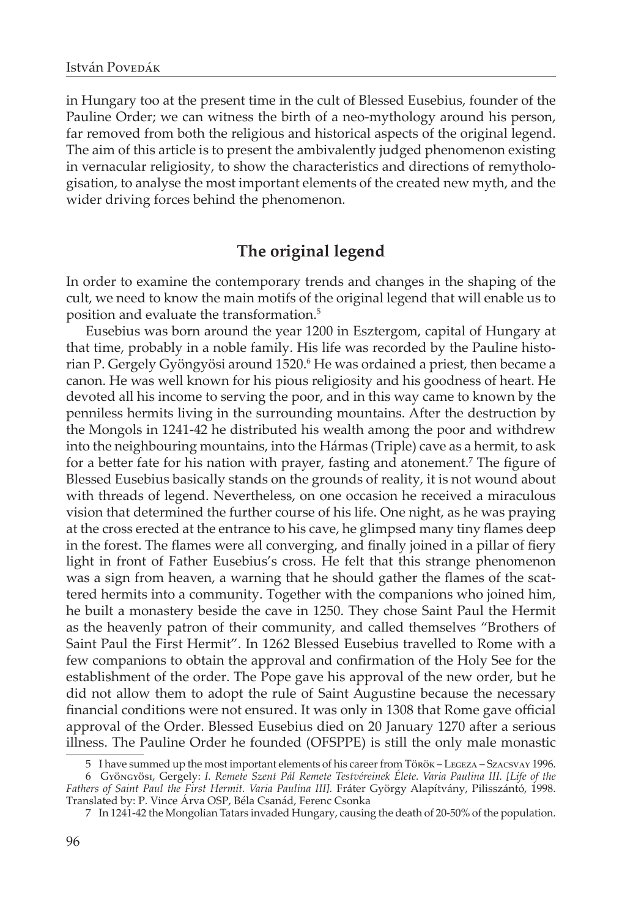in Hungary too at the present time in the cult of Blessed Eusebius, founder of the Pauline Order; we can witness the birth of a neo-mythology around his person, far removed from both the religious and historical aspects of the original legend. The aim of this article is to present the ambivalently judged phenomenon existing in vernacular religiosity, to show the characteristics and directions of remythologisation, to analyse the most important elements of the created new myth, and the wider driving forces behind the phenomenon.

# **The original legend**

In order to examine the contemporary trends and changes in the shaping of the cult, we need to know the main motifs of the original legend that will enable us to position and evaluate the transformation.<sup>5</sup>

Eusebius was born around the year 1200 in Esztergom, capital of Hungary at that time, probably in a noble family. His life was recorded by the Pauline historian P. Gergely Gyöngyösi around 1520.<sup>6</sup> He was ordained a priest, then became a canon. He was well known for his pious religiosity and his goodness of heart. He devoted all his income to serving the poor, and in this way came to known by the penniless hermits living in the surrounding mountains. After the destruction by the Mongols in 1241-42 he distributed his wealth among the poor and withdrew into the neighbouring mountains, into the Hármas (Triple) cave as a hermit, to ask for a better fate for his nation with prayer, fasting and atonement.<sup>7</sup> The figure of Blessed Eusebius basically stands on the grounds of reality, it is not wound about with threads of legend. Nevertheless, on one occasion he received a miraculous vision that determined the further course of his life. One night, as he was praying at the cross erected at the entrance to his cave, he glimpsed many tiny flames deep in the forest. The flames were all converging, and finally joined in a pillar of fiery light in front of Father Eusebius's cross. He felt that this strange phenomenon was a sign from heaven, a warning that he should gather the flames of the scattered hermits into a community. Together with the companions who joined him, he built a monastery beside the cave in 1250. They chose Saint Paul the Hermit as the heavenly patron of their community, and called themselves "Brothers of Saint Paul the First Hermit". In 1262 Blessed Eusebius travelled to Rome with a few companions to obtain the approval and confirmation of the Holy See for the establishment of the order. The Pope gave his approval of the new order, but he did not allow them to adopt the rule of Saint Augustine because the necessary financial conditions were not ensured. It was only in 1308 that Rome gave official approval of the Order. Blessed Eusebius died on 20 January 1270 after a serious illness. The Pauline Order he founded (OFSPPE) is still the only male monastic

<sup>5</sup> I have summed up the most important elements of his career from Török – Legeza – Szacsvay 1996.

<sup>6</sup> Gyöngyösi, Gergely: *I. Remete Szent Pál Remete Testvéreinek Élete. Varia Paulina III. [Life of the Fathers of Saint Paul the First Hermit. Varia Paulina III].* Fráter György Alapítvány, Pilisszántó, 1998. Translated by: P. Vince Árva OSP, Béla Csanád, Ferenc Csonka

<sup>7</sup> In 1241-42 the Mongolian Tatars invaded Hungary, causing the death of 20-50% of the population.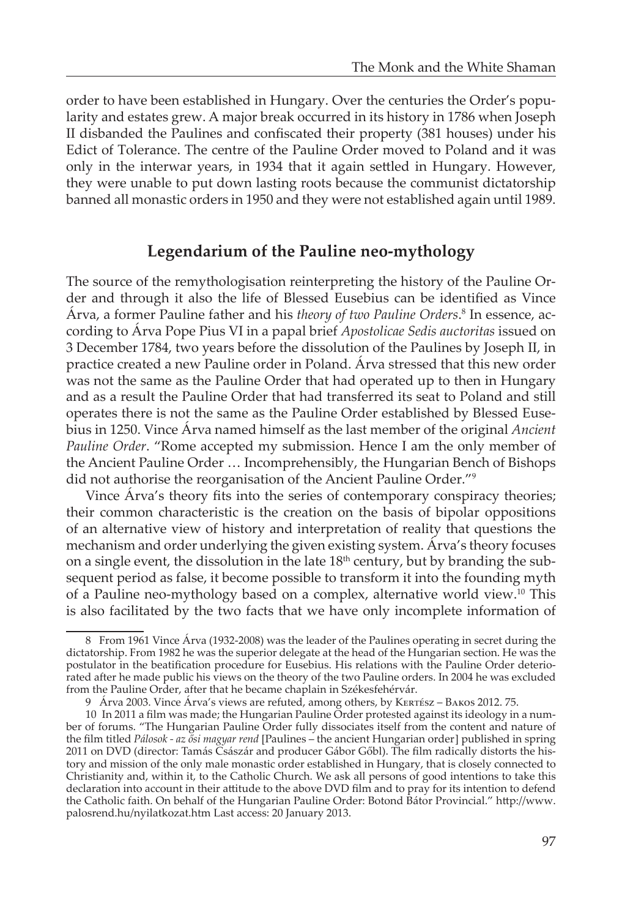order to have been established in Hungary. Over the centuries the Order's popularity and estates grew. A major break occurred in its history in 1786 when Joseph II disbanded the Paulines and confiscated their property (381 houses) under his Edict of Tolerance. The centre of the Pauline Order moved to Poland and it was only in the interwar years, in 1934 that it again settled in Hungary. However, they were unable to put down lasting roots because the communist dictatorship banned all monastic orders in 1950 and they were not established again until 1989.

## **Legendarium of the Pauline neo-mythology**

The source of the remythologisation reinterpreting the history of the Pauline Order and through it also the life of Blessed Eusebius can be identified as Vince Árva, a former Pauline father and his *theory of two Pauline Orders*. 8 In essence, according to Árva Pope Pius VI in a papal brief *Apostolicae Sedis auctoritas* issued on 3 December 1784, two years before the dissolution of the Paulines by Joseph II, in practice created a new Pauline order in Poland. Árva stressed that this new order was not the same as the Pauline Order that had operated up to then in Hungary and as a result the Pauline Order that had transferred its seat to Poland and still operates there is not the same as the Pauline Order established by Blessed Eusebius in 1250. Vince Árva named himself as the last member of the original *Ancient Pauline Order*. "Rome accepted my submission. Hence I am the only member of the Ancient Pauline Order … Incomprehensibly, the Hungarian Bench of Bishops did not authorise the reorganisation of the Ancient Pauline Order."9

Vince Árva's theory fits into the series of contemporary conspiracy theories; their common characteristic is the creation on the basis of bipolar oppositions of an alternative view of history and interpretation of reality that questions the mechanism and order underlying the given existing system. Árva's theory focuses on a single event, the dissolution in the late  $18<sup>th</sup>$  century, but by branding the subsequent period as false, it become possible to transform it into the founding myth of a Pauline neo-mythology based on a complex, alternative world view.10 This is also facilitated by the two facts that we have only incomplete information of

<sup>8</sup> From 1961 Vince Árva (1932-2008) was the leader of the Paulines operating in secret during the dictatorship. From 1982 he was the superior delegate at the head of the Hungarian section. He was the postulator in the beatification procedure for Eusebius. His relations with the Pauline Order deteriorated after he made public his views on the theory of the two Pauline orders. In 2004 he was excluded from the Pauline Order, after that he became chaplain in Székesfehérvár.

<sup>9</sup> Árva 2003. Vince Árva's views are refuted, among others, by KERTÉSZ – BAKOS 2012. 75.

<sup>10</sup> In 2011 a film was made; the Hungarian Pauline Order protested against its ideology in a number of forums. "The Hungarian Pauline Order fully dissociates itself from the content and nature of the film titled *Pálosok - az ősi magyar rend* [Paulines – the ancient Hungarian order] published in spring 2011 on DVD (director: Tamás Császár and producer Gábor Gőbl). The film radically distorts the history and mission of the only male monastic order established in Hungary, that is closely connected to Christianity and, within it, to the Catholic Church. We ask all persons of good intentions to take this declaration into account in their attitude to the above DVD film and to pray for its intention to defend the Catholic faith. On behalf of the Hungarian Pauline Order: Botond Bátor Provincial." http://www. palosrend.hu/nyilatkozat.htm Last access: 20 January 2013.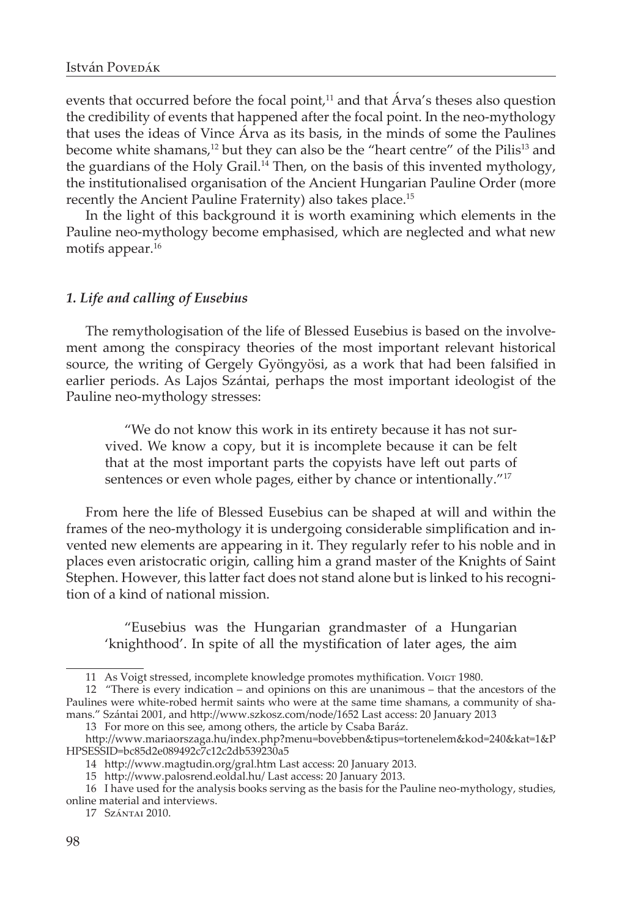events that occurred before the focal point, $11$  and that Árva's theses also question the credibility of events that happened after the focal point. In the neo-mythology that uses the ideas of Vince Árva as its basis, in the minds of some the Paulines become white shamans,<sup>12</sup> but they can also be the "heart centre" of the Pilis<sup>13</sup> and the guardians of the Holy Grail.14 Then, on the basis of this invented mythology, the institutionalised organisation of the Ancient Hungarian Pauline Order (more recently the Ancient Pauline Fraternity) also takes place.15

In the light of this background it is worth examining which elements in the Pauline neo-mythology become emphasised, which are neglected and what new motifs appear.<sup>16</sup>

#### *1. Life and calling of Eusebius*

The remythologisation of the life of Blessed Eusebius is based on the involvement among the conspiracy theories of the most important relevant historical source, the writing of Gergely Gyöngyösi, as a work that had been falsified in earlier periods. As Lajos Szántai, perhaps the most important ideologist of the Pauline neo-mythology stresses:

"We do not know this work in its entirety because it has not survived. We know a copy, but it is incomplete because it can be felt that at the most important parts the copyists have left out parts of sentences or even whole pages, either by chance or intentionally."<sup>17</sup>

From here the life of Blessed Eusebius can be shaped at will and within the frames of the neo-mythology it is undergoing considerable simplification and invented new elements are appearing in it. They regularly refer to his noble and in places even aristocratic origin, calling him a grand master of the Knights of Saint Stephen. However, this latter fact does not stand alone but is linked to his recognition of a kind of national mission.

"Eusebius was the Hungarian grandmaster of a Hungarian 'knighthood'. In spite of all the mystification of later ages, the aim

<sup>11</sup> As Voigt stressed, incomplete knowledge promotes mythification. Voigt 1980.

<sup>12 &</sup>quot;There is every indication – and opinions on this are unanimous – that the ancestors of the Paulines were white-robed hermit saints who were at the same time shamans, a community of shamans." Szántai 2001, and http://www.szkosz.com/node/1652 Last access: 20 January 2013

<sup>13</sup> For more on this see, among others, the article by Csaba Baráz.

http://www.mariaorszaga.hu/index.php?menu=bovebben&tipus=tortenelem&kod=240&kat=1&P HPSESSID=bc85d2e089492c7c12c2db539230a5

<sup>14</sup> http://www.magtudin.org/gral.htm Last access: 20 January 2013.

<sup>15</sup> http://www.palosrend.eoldal.hu/ Last access: 20 January 2013.

<sup>16</sup> I have used for the analysis books serving as the basis for the Pauline neo-mythology, studies, online material and interviews.

<sup>17</sup> Szántai 2010.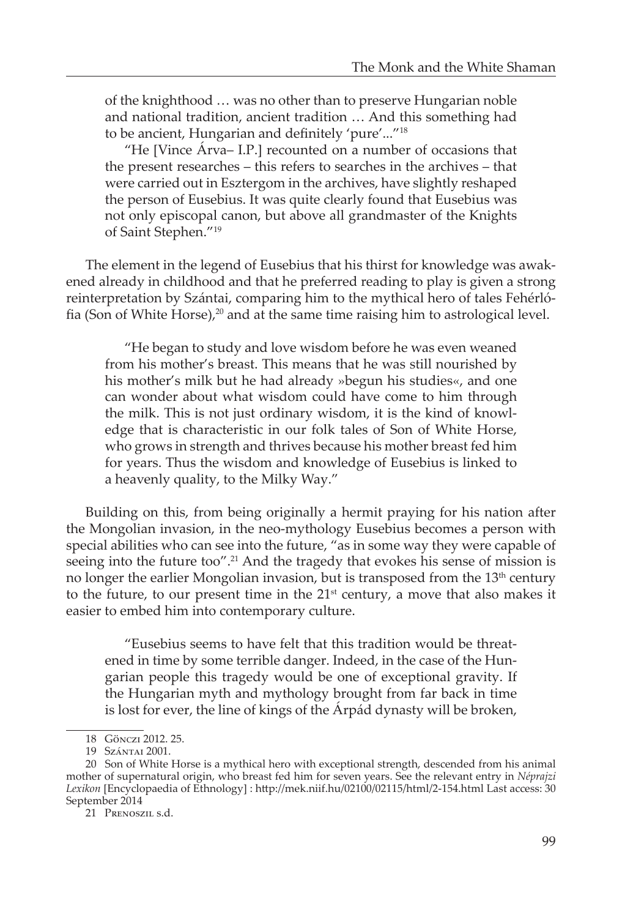of the knighthood … was no other than to preserve Hungarian noble and national tradition, ancient tradition … And this something had to be ancient, Hungarian and definitely 'pure'..."<sup>18</sup>

"He [Vince Árva– I.P.] recounted on a number of occasions that the present researches – this refers to searches in the archives – that were carried out in Esztergom in the archives, have slightly reshaped the person of Eusebius. It was quite clearly found that Eusebius was not only episcopal canon, but above all grandmaster of the Knights of Saint Stephen."19

The element in the legend of Eusebius that his thirst for knowledge was awakened already in childhood and that he preferred reading to play is given a strong reinterpretation by Szántai, comparing him to the mythical hero of tales Fehérlófia (Son of White Horse),<sup>20</sup> and at the same time raising him to astrological level.

"He began to study and love wisdom before he was even weaned from his mother's breast. This means that he was still nourished by his mother's milk but he had already »begun his studies«, and one can wonder about what wisdom could have come to him through the milk. This is not just ordinary wisdom, it is the kind of knowledge that is characteristic in our folk tales of Son of White Horse, who grows in strength and thrives because his mother breast fed him for years. Thus the wisdom and knowledge of Eusebius is linked to a heavenly quality, to the Milky Way."

Building on this, from being originally a hermit praying for his nation after the Mongolian invasion, in the neo-mythology Eusebius becomes a person with special abilities who can see into the future, "as in some way they were capable of seeing into the future too".<sup>21</sup> And the tragedy that evokes his sense of mission is no longer the earlier Mongolian invasion, but is transposed from the  $13<sup>th</sup>$  century to the future, to our present time in the  $21<sup>st</sup>$  century, a move that also makes it easier to embed him into contemporary culture.

"Eusebius seems to have felt that this tradition would be threatened in time by some terrible danger. Indeed, in the case of the Hungarian people this tragedy would be one of exceptional gravity. If the Hungarian myth and mythology brought from far back in time is lost for ever, the line of kings of the Árpád dynasty will be broken,

<sup>18</sup> Gönczi 2012. 25.

<sup>19</sup> Szántai 2001.

<sup>20</sup> Son of White Horse is a mythical hero with exceptional strength, descended from his animal mother of supernatural origin, who breast fed him for seven years. See the relevant entry in *Néprajzi Lexikon* [Encyclopaedia of Ethnology] : http://mek.niif.hu/02100/02115/html/2-154.html Last access: 30 September 2014

<sup>21</sup> Prenoszil s.d.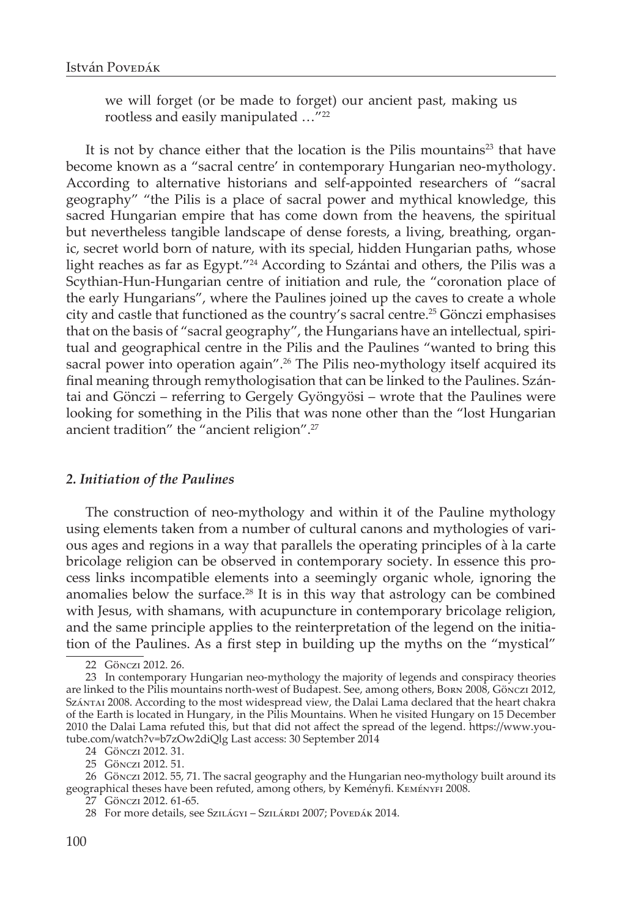we will forget (or be made to forget) our ancient past, making us rootless and easily manipulated …"<sup>22</sup>

It is not by chance either that the location is the Pilis mountains<sup>23</sup> that have become known as a "sacral centre' in contemporary Hungarian neo-mythology. According to alternative historians and self-appointed researchers of "sacral geography" "the Pilis is a place of sacral power and mythical knowledge, this sacred Hungarian empire that has come down from the heavens, the spiritual but nevertheless tangible landscape of dense forests, a living, breathing, organic, secret world born of nature, with its special, hidden Hungarian paths, whose light reaches as far as Egypt."<sup>24</sup> According to Szántai and others, the Pilis was a Scythian-Hun-Hungarian centre of initiation and rule, the "coronation place of the early Hungarians", where the Paulines joined up the caves to create a whole city and castle that functioned as the country's sacral centre.<sup>25</sup> Gönczi emphasises that on the basis of "sacral geography", the Hungarians have an intellectual, spiritual and geographical centre in the Pilis and the Paulines "wanted to bring this sacral power into operation again".<sup>26</sup> The Pilis neo-mythology itself acquired its final meaning through remythologisation that can be linked to the Paulines. Szántai and Gönczi – referring to Gergely Gyöngyösi – wrote that the Paulines were looking for something in the Pilis that was none other than the "lost Hungarian ancient tradition" the "ancient religion".27

#### *2. Initiation of the Paulines*

The construction of neo-mythology and within it of the Pauline mythology using elements taken from a number of cultural canons and mythologies of various ages and regions in a way that parallels the operating principles of à la carte bricolage religion can be observed in contemporary society. In essence this process links incompatible elements into a seemingly organic whole, ignoring the anomalies below the surface. $28$  It is in this way that astrology can be combined with Jesus, with shamans, with acupuncture in contemporary bricolage religion, and the same principle applies to the reinterpretation of the legend on the initiation of the Paulines. As a first step in building up the myths on the "mystical"

<sup>22</sup> Gönczi 2012. 26.

<sup>23</sup> In contemporary Hungarian neo-mythology the majority of legends and conspiracy theories are linked to the Pilis mountains north-west of Budapest. See, among others, Born 2008, Gönczi 2012, Szántai 2008. According to the most widespread view, the Dalai Lama declared that the heart chakra of the Earth is located in Hungary, in the Pilis Mountains. When he visited Hungary on 15 December 2010 the Dalai Lama refuted this, but that did not affect the spread of the legend. https://www.youtube.com/watch?v=b7zOw2diQlg Last access: 30 September 2014

<sup>24</sup> Gönczi 2012. 31.

<sup>25</sup> Gönczi 2012. 51.

<sup>26</sup> Gönczi 2012. 55, 71. The sacral geography and the Hungarian neo-mythology built around its geographical theses have been refuted, among others, by Keményfi. Keményfi 2008.

<sup>27</sup> Gönczi 2012. 61-65.

<sup>28</sup> For more details, see Szilágyi – Szilárdi 2007; Povedák 2014.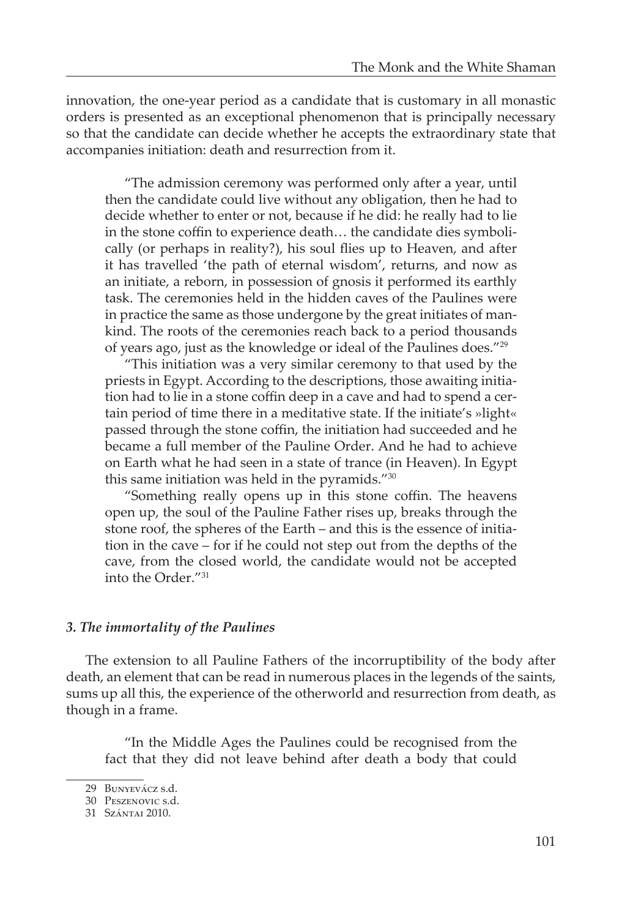innovation, the one-year period as a candidate that is customary in all monastic orders is presented as an exceptional phenomenon that is principally necessary so that the candidate can decide whether he accepts the extraordinary state that accompanies initiation: death and resurrection from it.

"The admission ceremony was performed only after a year, until then the candidate could live without any obligation, then he had to decide whether to enter or not, because if he did: he really had to lie in the stone coffin to experience death… the candidate dies symbolically (or perhaps in reality?), his soul flies up to Heaven, and after it has travelled 'the path of eternal wisdom', returns, and now as an initiate, a reborn, in possession of gnosis it performed its earthly task. The ceremonies held in the hidden caves of the Paulines were in practice the same as those undergone by the great initiates of mankind. The roots of the ceremonies reach back to a period thousands of years ago, just as the knowledge or ideal of the Paulines does."29

"This initiation was a very similar ceremony to that used by the priests in Egypt. According to the descriptions, those awaiting initiation had to lie in a stone coffin deep in a cave and had to spend a certain period of time there in a meditative state. If the initiate's »light« passed through the stone coffin, the initiation had succeeded and he became a full member of the Pauline Order. And he had to achieve on Earth what he had seen in a state of trance (in Heaven). In Egypt this same initiation was held in the pyramids."30

"Something really opens up in this stone coffin. The heavens open up, the soul of the Pauline Father rises up, breaks through the stone roof, the spheres of the Earth – and this is the essence of initiation in the cave – for if he could not step out from the depths of the cave, from the closed world, the candidate would not be accepted into the Order."31

## *3. The immortality of the Paulines*

The extension to all Pauline Fathers of the incorruptibility of the body after death, an element that can be read in numerous places in the legends of the saints, sums up all this, the experience of the otherworld and resurrection from death, as though in a frame.

"In the Middle Ages the Paulines could be recognised from the fact that they did not leave behind after death a body that could

<sup>29</sup> Bunyevácz s.d.

<sup>30</sup> Peszenovic s.d.

<sup>31</sup> Szántai 2010.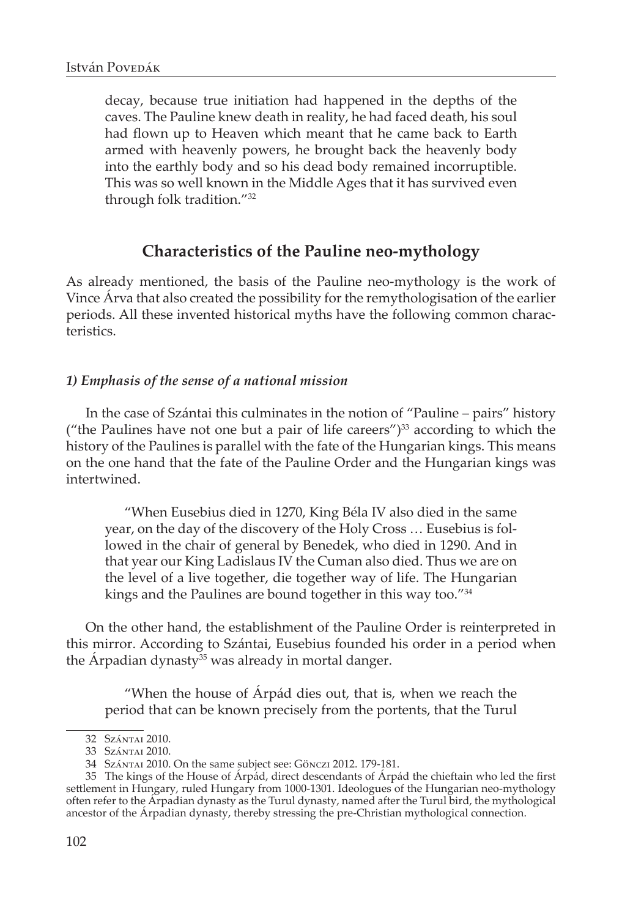decay, because true initiation had happened in the depths of the caves. The Pauline knew death in reality, he had faced death, his soul had flown up to Heaven which meant that he came back to Earth armed with heavenly powers, he brought back the heavenly body into the earthly body and so his dead body remained incorruptible. This was so well known in the Middle Ages that it has survived even through folk tradition."32

## **Characteristics of the Pauline neo-mythology**

As already mentioned, the basis of the Pauline neo-mythology is the work of Vince Árva that also created the possibility for the remythologisation of the earlier periods. All these invented historical myths have the following common characteristics.

## *1) Emphasis of the sense of a national mission*

In the case of Szántai this culminates in the notion of "Pauline – pairs" history ("the Paulines have not one but a pair of life careers") $^{33}$  according to which the history of the Paulines is parallel with the fate of the Hungarian kings. This means on the one hand that the fate of the Pauline Order and the Hungarian kings was intertwined.

"When Eusebius died in 1270, King Béla IV also died in the same year, on the day of the discovery of the Holy Cross … Eusebius is followed in the chair of general by Benedek, who died in 1290. And in that year our King Ladislaus IV the Cuman also died. Thus we are on the level of a live together, die together way of life. The Hungarian kings and the Paulines are bound together in this way too."34

On the other hand, the establishment of the Pauline Order is reinterpreted in this mirror. According to Szántai, Eusebius founded his order in a period when the Árpadian dynasty<sup>35</sup> was already in mortal danger.

"When the house of Árpád dies out, that is, when we reach the period that can be known precisely from the portents, that the Turul

<sup>32</sup> Szántai 2010.

<sup>33</sup> Szántai 2010.

<sup>34</sup> Szántai 2010. On the same subject see: Gönczi 2012. 179-181.

<sup>35</sup> The kings of the House of Árpád, direct descendants of Árpád the chieftain who led the first settlement in Hungary, ruled Hungary from 1000-1301. Ideologues of the Hungarian neo-mythology often refer to the Árpadian dynasty as the Turul dynasty, named after the Turul bird, the mythological ancestor of the Árpadian dynasty, thereby stressing the pre-Christian mythological connection.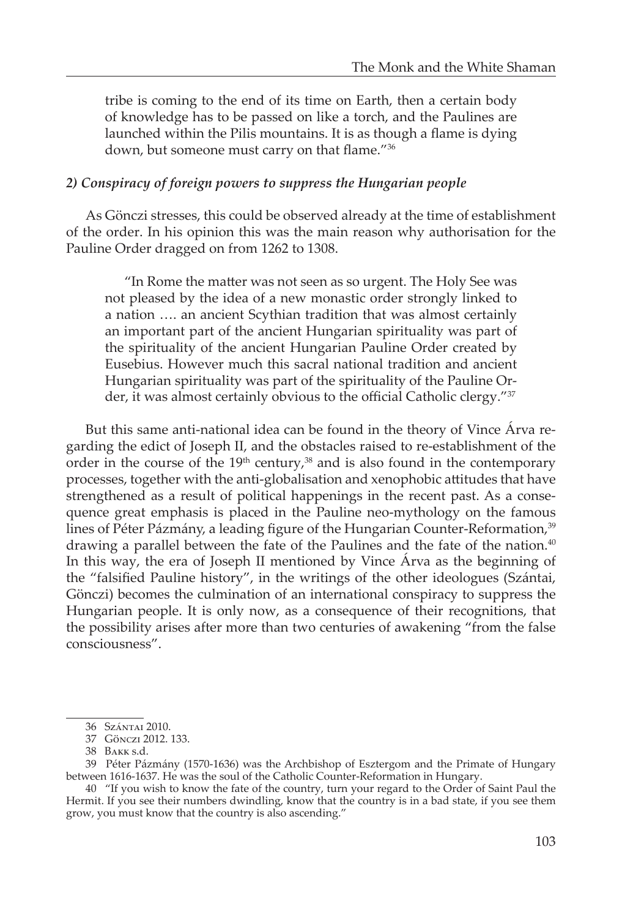tribe is coming to the end of its time on Earth, then a certain body of knowledge has to be passed on like a torch, and the Paulines are launched within the Pilis mountains. It is as though a flame is dying down, but someone must carry on that flame."36

#### *2) Conspiracy of foreign powers to suppress the Hungarian people*

As Gönczi stresses, this could be observed already at the time of establishment of the order. In his opinion this was the main reason why authorisation for the Pauline Order dragged on from 1262 to 1308.

"In Rome the matter was not seen as so urgent. The Holy See was not pleased by the idea of a new monastic order strongly linked to a nation …. an ancient Scythian tradition that was almost certainly an important part of the ancient Hungarian spirituality was part of the spirituality of the ancient Hungarian Pauline Order created by Eusebius. However much this sacral national tradition and ancient Hungarian spirituality was part of the spirituality of the Pauline Order, it was almost certainly obvious to the official Catholic clergy."<sup>37</sup>

But this same anti-national idea can be found in the theory of Vince Árva regarding the edict of Joseph II, and the obstacles raised to re-establishment of the order in the course of the  $19<sup>th</sup>$  century,<sup>38</sup> and is also found in the contemporary processes, together with the anti-globalisation and xenophobic attitudes that have strengthened as a result of political happenings in the recent past. As a consequence great emphasis is placed in the Pauline neo-mythology on the famous lines of Péter Pázmány, a leading figure of the Hungarian Counter-Reformation,<sup>39</sup> drawing a parallel between the fate of the Paulines and the fate of the nation.<sup>40</sup> In this way, the era of Joseph II mentioned by Vince Árva as the beginning of the "falsified Pauline history", in the writings of the other ideologues (Szántai, Gönczi) becomes the culmination of an international conspiracy to suppress the Hungarian people. It is only now, as a consequence of their recognitions, that the possibility arises after more than two centuries of awakening "from the false consciousness".

<sup>36</sup> Szántai 2010.

<sup>37</sup> Gönczi 2012. 133.

<sup>38</sup> Bakk s.d.

<sup>39</sup> Péter Pázmány (1570-1636) was the Archbishop of Esztergom and the Primate of Hungary between 1616-1637. He was the soul of the Catholic Counter-Reformation in Hungary.

<sup>40 &</sup>quot;If you wish to know the fate of the country, turn your regard to the Order of Saint Paul the Hermit. If you see their numbers dwindling, know that the country is in a bad state, if you see them grow, you must know that the country is also ascending."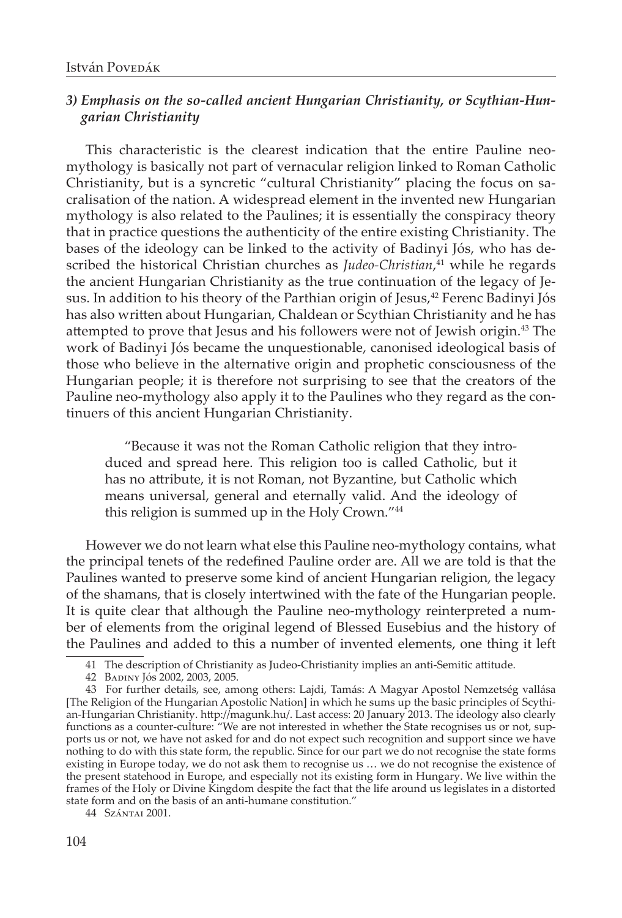## *3) Emphasis on the so-called ancient Hungarian Christianity, or Scythian-Hungarian Christianity*

This characteristic is the clearest indication that the entire Pauline neomythology is basically not part of vernacular religion linked to Roman Catholic Christianity, but is a syncretic "cultural Christianity" placing the focus on sacralisation of the nation. A widespread element in the invented new Hungarian mythology is also related to the Paulines; it is essentially the conspiracy theory that in practice questions the authenticity of the entire existing Christianity. The bases of the ideology can be linked to the activity of Badinyi Jós, who has described the historical Christian churches as *Judeo-Christian*, 41 while he regards the ancient Hungarian Christianity as the true continuation of the legacy of Jesus. In addition to his theory of the Parthian origin of Jesus,<sup>42</sup> Ferenc Badinyi Jós has also written about Hungarian, Chaldean or Scythian Christianity and he has attempted to prove that Jesus and his followers were not of Jewish origin.<sup>43</sup> The work of Badinyi Jós became the unquestionable, canonised ideological basis of those who believe in the alternative origin and prophetic consciousness of the Hungarian people; it is therefore not surprising to see that the creators of the Pauline neo-mythology also apply it to the Paulines who they regard as the continuers of this ancient Hungarian Christianity.

"Because it was not the Roman Catholic religion that they introduced and spread here. This religion too is called Catholic, but it has no attribute, it is not Roman, not Byzantine, but Catholic which means universal, general and eternally valid. And the ideology of this religion is summed up in the Holy Crown."44

However we do not learn what else this Pauline neo-mythology contains, what the principal tenets of the redefined Pauline order are. All we are told is that the Paulines wanted to preserve some kind of ancient Hungarian religion, the legacy of the shamans, that is closely intertwined with the fate of the Hungarian people. It is quite clear that although the Pauline neo-mythology reinterpreted a number of elements from the original legend of Blessed Eusebius and the history of the Paulines and added to this a number of invented elements, one thing it left

<sup>41</sup> The description of Christianity as Judeo-Christianity implies an anti-Semitic attitude.

<sup>42</sup> Badiny Jós 2002, 2003, 2005.

<sup>43</sup> For further details, see, among others: Lajdi, Tamás: A Magyar Apostol Nemzetség vallása [The Religion of the Hungarian Apostolic Nation] in which he sums up the basic principles of Scythian-Hungarian Christianity. http://magunk.hu/. Last access: 20 January 2013. The ideology also clearly functions as a counter-culture: "We are not interested in whether the State recognises us or not, supports us or not, we have not asked for and do not expect such recognition and support since we have nothing to do with this state form, the republic. Since for our part we do not recognise the state forms existing in Europe today, we do not ask them to recognise us … we do not recognise the existence of the present statehood in Europe, and especially not its existing form in Hungary. We live within the frames of the Holy or Divine Kingdom despite the fact that the life around us legislates in a distorted state form and on the basis of an anti-humane constitution."

<sup>44</sup> Szántai 2001.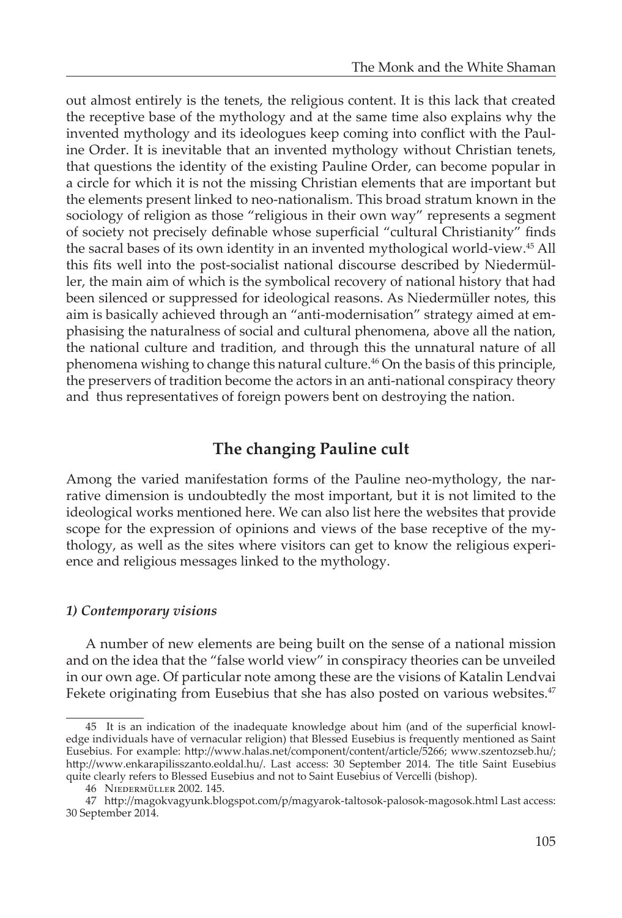out almost entirely is the tenets, the religious content. It is this lack that created the receptive base of the mythology and at the same time also explains why the invented mythology and its ideologues keep coming into conflict with the Pauline Order. It is inevitable that an invented mythology without Christian tenets, that questions the identity of the existing Pauline Order, can become popular in a circle for which it is not the missing Christian elements that are important but the elements present linked to neo-nationalism. This broad stratum known in the sociology of religion as those "religious in their own way" represents a segment of society not precisely definable whose superficial "cultural Christianity" finds the sacral bases of its own identity in an invented mythological world-view.45 All this fits well into the post-socialist national discourse described by Niedermüller, the main aim of which is the symbolical recovery of national history that had been silenced or suppressed for ideological reasons. As Niedermüller notes, this aim is basically achieved through an "anti-modernisation" strategy aimed at emphasising the naturalness of social and cultural phenomena, above all the nation, the national culture and tradition, and through this the unnatural nature of all phenomena wishing to change this natural culture.46 On the basis of this principle, the preservers of tradition become the actors in an anti-national conspiracy theory and thus representatives of foreign powers bent on destroying the nation.

# **The changing Pauline cult**

Among the varied manifestation forms of the Pauline neo-mythology, the narrative dimension is undoubtedly the most important, but it is not limited to the ideological works mentioned here. We can also list here the websites that provide scope for the expression of opinions and views of the base receptive of the mythology, as well as the sites where visitors can get to know the religious experience and religious messages linked to the mythology.

## *1) Contemporary visions*

A number of new elements are being built on the sense of a national mission and on the idea that the "false world view" in conspiracy theories can be unveiled in our own age. Of particular note among these are the visions of Katalin Lendvai Fekete originating from Eusebius that she has also posted on various websites.<sup>47</sup>

<sup>45</sup> It is an indication of the inadequate knowledge about him (and of the superficial knowledge individuals have of vernacular religion) that Blessed Eusebius is frequently mentioned as Saint Eusebius. For example: http://www.halas.net/component/content/article/5266; www.szentozseb.hu/; http://www.enkarapilisszanto.eoldal.hu/. Last access: 30 September 2014. The title Saint Eusebius quite clearly refers to Blessed Eusebius and not to Saint Eusebius of Vercelli (bishop).

<sup>46</sup> Niedermüller 2002. 145.

<sup>47</sup> http://magokvagyunk.blogspot.com/p/magyarok-taltosok-palosok-magosok.html Last access: 30 September 2014.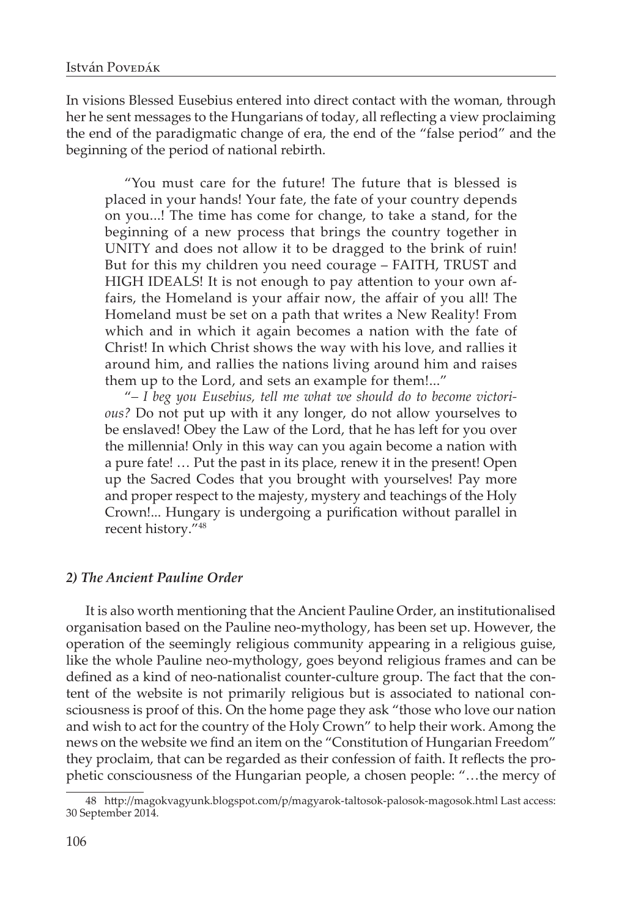In visions Blessed Eusebius entered into direct contact with the woman, through her he sent messages to the Hungarians of today, all reflecting a view proclaiming the end of the paradigmatic change of era, the end of the "false period" and the beginning of the period of national rebirth.

"You must care for the future! The future that is blessed is placed in your hands! Your fate, the fate of your country depends on you...! The time has come for change, to take a stand, for the beginning of a new process that brings the country together in UNITY and does not allow it to be dragged to the brink of ruin! But for this my children you need courage – FAITH, TRUST and HIGH IDEALS! It is not enough to pay attention to your own affairs, the Homeland is your affair now, the affair of you all! The Homeland must be set on a path that writes a New Reality! From which and in which it again becomes a nation with the fate of Christ! In which Christ shows the way with his love, and rallies it around him, and rallies the nations living around him and raises them up to the Lord, and sets an example for them!..."

"*– I beg you Eusebius, tell me what we should do to become victorious?* Do not put up with it any longer, do not allow yourselves to be enslaved! Obey the Law of the Lord, that he has left for you over the millennia! Only in this way can you again become a nation with a pure fate! … Put the past in its place, renew it in the present! Open up the Sacred Codes that you brought with yourselves! Pay more and proper respect to the majesty, mystery and teachings of the Holy Crown!... Hungary is undergoing a purification without parallel in recent history."48

## *2) The Ancient Pauline Order*

It is also worth mentioning that the Ancient Pauline Order, an institutionalised organisation based on the Pauline neo-mythology, has been set up. However, the operation of the seemingly religious community appearing in a religious guise, like the whole Pauline neo-mythology, goes beyond religious frames and can be defined as a kind of neo-nationalist counter-culture group. The fact that the content of the website is not primarily religious but is associated to national consciousness is proof of this. On the home page they ask "those who love our nation and wish to act for the country of the Holy Crown" to help their work. Among the news on the website we find an item on the "Constitution of Hungarian Freedom" they proclaim, that can be regarded as their confession of faith. It reflects the prophetic consciousness of the Hungarian people, a chosen people: "…the mercy of

<sup>48</sup> http://magokvagyunk.blogspot.com/p/magyarok-taltosok-palosok-magosok.html Last access: 30 September 2014.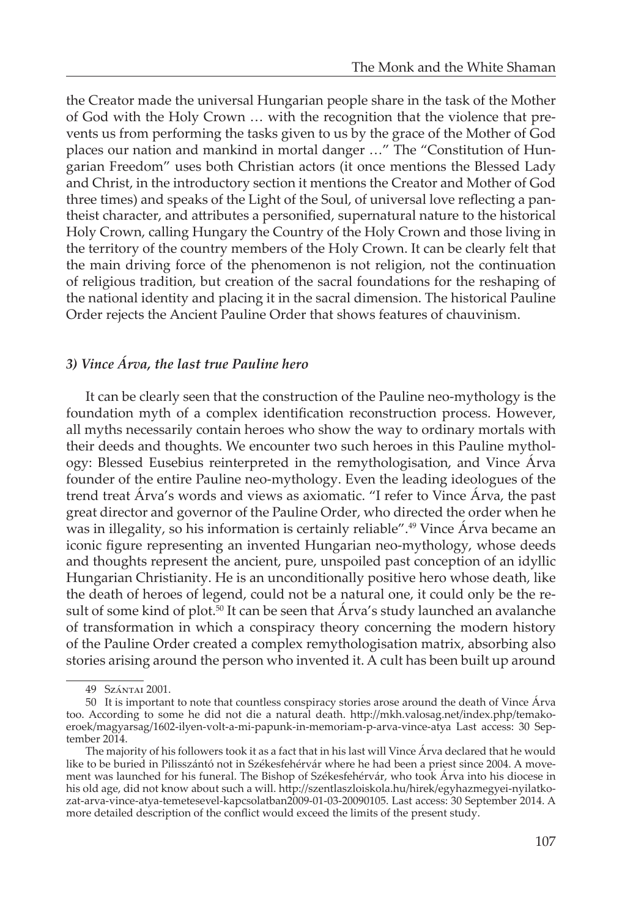the Creator made the universal Hungarian people share in the task of the Mother of God with the Holy Crown … with the recognition that the violence that prevents us from performing the tasks given to us by the grace of the Mother of God places our nation and mankind in mortal danger …" The "Constitution of Hungarian Freedom" uses both Christian actors (it once mentions the Blessed Lady and Christ, in the introductory section it mentions the Creator and Mother of God three times) and speaks of the Light of the Soul, of universal love reflecting a pantheist character, and attributes a personified, supernatural nature to the historical Holy Crown, calling Hungary the Country of the Holy Crown and those living in the territory of the country members of the Holy Crown. It can be clearly felt that the main driving force of the phenomenon is not religion, not the continuation of religious tradition, but creation of the sacral foundations for the reshaping of the national identity and placing it in the sacral dimension. The historical Pauline Order rejects the Ancient Pauline Order that shows features of chauvinism.

## *3) Vince Árva, the last true Pauline hero*

It can be clearly seen that the construction of the Pauline neo-mythology is the foundation myth of a complex identification reconstruction process. However, all myths necessarily contain heroes who show the way to ordinary mortals with their deeds and thoughts. We encounter two such heroes in this Pauline mythology: Blessed Eusebius reinterpreted in the remythologisation, and Vince Árva founder of the entire Pauline neo-mythology. Even the leading ideologues of the trend treat Árva's words and views as axiomatic. "I refer to Vince Árva, the past great director and governor of the Pauline Order, who directed the order when he was in illegality, so his information is certainly reliable".<sup>49</sup> Vince Árva became an iconic figure representing an invented Hungarian neo-mythology, whose deeds and thoughts represent the ancient, pure, unspoiled past conception of an idyllic Hungarian Christianity. He is an unconditionally positive hero whose death, like the death of heroes of legend, could not be a natural one, it could only be the result of some kind of plot.<sup>50</sup> It can be seen that Árva's study launched an avalanche of transformation in which a conspiracy theory concerning the modern history of the Pauline Order created a complex remythologisation matrix, absorbing also stories arising around the person who invented it. A cult has been built up around

<sup>49</sup> Szántai 2001.

<sup>50</sup> It is important to note that countless conspiracy stories arose around the death of Vince Árva too. According to some he did not die a natural death. http://mkh.valosag.net/index.php/temakoeroek/magyarsag/1602-ilyen-volt-a-mi-papunk-in-memoriam-p-arva-vince-atya Last access: 30 September 2014.

The majority of his followers took it as a fact that in his last will Vince Árva declared that he would like to be buried in Pilisszántó not in Székesfehérvár where he had been a priest since 2004. A movement was launched for his funeral. The Bishop of Székesfehérvár, who took Árva into his diocese in his old age, did not know about such a will. http://szentlaszloiskola.hu/hirek/egyhazmegyei-nyilatkozat-arva-vince-atya-temetesevel-kapcsolatban2009-01-03-20090105. Last access: 30 September 2014. A more detailed description of the conflict would exceed the limits of the present study.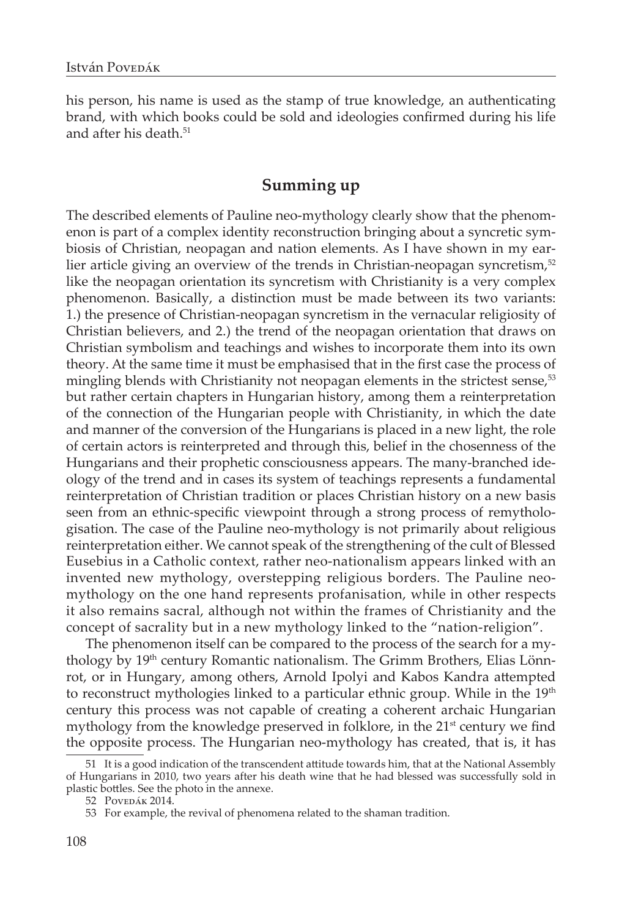his person, his name is used as the stamp of true knowledge, an authenticating brand, with which books could be sold and ideologies confirmed during his life and after his death.<sup>51</sup>

# **Summing up**

The described elements of Pauline neo-mythology clearly show that the phenomenon is part of a complex identity reconstruction bringing about a syncretic symbiosis of Christian, neopagan and nation elements. As I have shown in my earlier article giving an overview of the trends in Christian-neopagan syncretism,<sup>52</sup> like the neopagan orientation its syncretism with Christianity is a very complex phenomenon. Basically, a distinction must be made between its two variants: 1.) the presence of Christian-neopagan syncretism in the vernacular religiosity of Christian believers, and 2.) the trend of the neopagan orientation that draws on Christian symbolism and teachings and wishes to incorporate them into its own theory. At the same time it must be emphasised that in the first case the process of mingling blends with Christianity not neopagan elements in the strictest sense,<sup>53</sup> but rather certain chapters in Hungarian history, among them a reinterpretation of the connection of the Hungarian people with Christianity, in which the date and manner of the conversion of the Hungarians is placed in a new light, the role of certain actors is reinterpreted and through this, belief in the chosenness of the Hungarians and their prophetic consciousness appears. The many-branched ideology of the trend and in cases its system of teachings represents a fundamental reinterpretation of Christian tradition or places Christian history on a new basis seen from an ethnic-specific viewpoint through a strong process of remythologisation. The case of the Pauline neo-mythology is not primarily about religious reinterpretation either. We cannot speak of the strengthening of the cult of Blessed Eusebius in a Catholic context, rather neo-nationalism appears linked with an invented new mythology, overstepping religious borders. The Pauline neomythology on the one hand represents profanisation, while in other respects it also remains sacral, although not within the frames of Christianity and the concept of sacrality but in a new mythology linked to the "nation-religion".

The phenomenon itself can be compared to the process of the search for a mythology by 19<sup>th</sup> century Romantic nationalism. The Grimm Brothers, Elias Lönnrot, or in Hungary, among others, Arnold Ipolyi and Kabos Kandra attempted to reconstruct mythologies linked to a particular ethnic group. While in the 19<sup>th</sup> century this process was not capable of creating a coherent archaic Hungarian mythology from the knowledge preserved in folklore, in the 21<sup>st</sup> century we find the opposite process. The Hungarian neo-mythology has created, that is, it has

<sup>51</sup> It is a good indication of the transcendent attitude towards him, that at the National Assembly of Hungarians in 2010, two years after his death wine that he had blessed was successfully sold in plastic bottles. See the photo in the annexe.

<sup>52</sup> Povedák 2014.

<sup>53</sup> For example, the revival of phenomena related to the shaman tradition.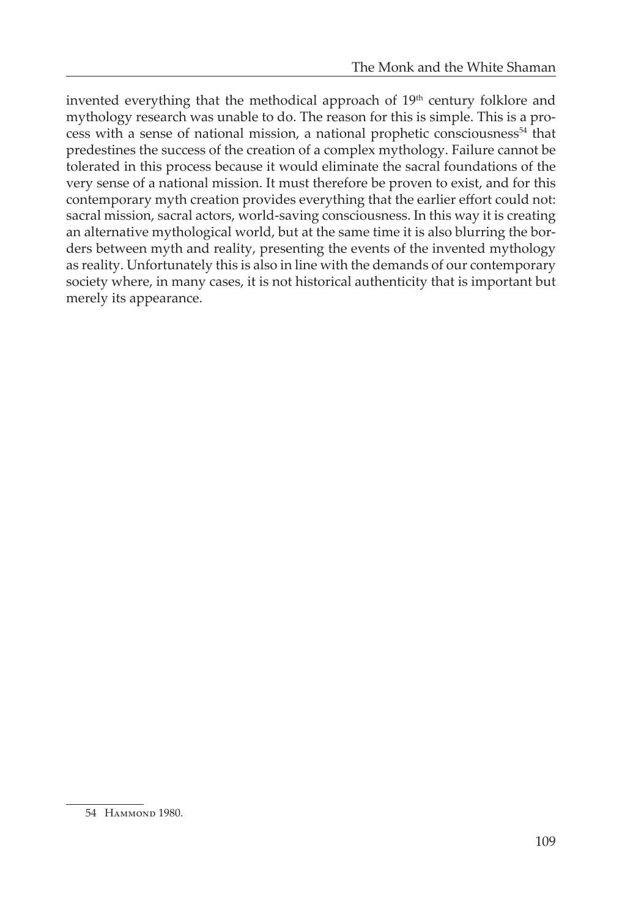invented everything that the methodical approach of  $19<sup>th</sup>$  century folklore and mythology research was unable to do. The reason for this is simple. This is a process with a sense of national mission, a national prophetic consciousness<sup>54</sup> that predestines the success of the creation of a complex mythology. Failure cannot be tolerated in this process because it would eliminate the sacral foundations of the very sense of a national mission. It must therefore be proven to exist, and for this contemporary myth creation provides everything that the earlier effort could not: sacral mission, sacral actors, world-saving consciousness. In this way it is creating an alternative mythological world, but at the same time it is also blurring the borders between myth and reality, presenting the events of the invented mythology as reality. Unfortunately this is also in line with the demands of our contemporary society where, in many cases, it is not historical authenticity that is important but merely its appearance.

<sup>54</sup> Hammond 1980.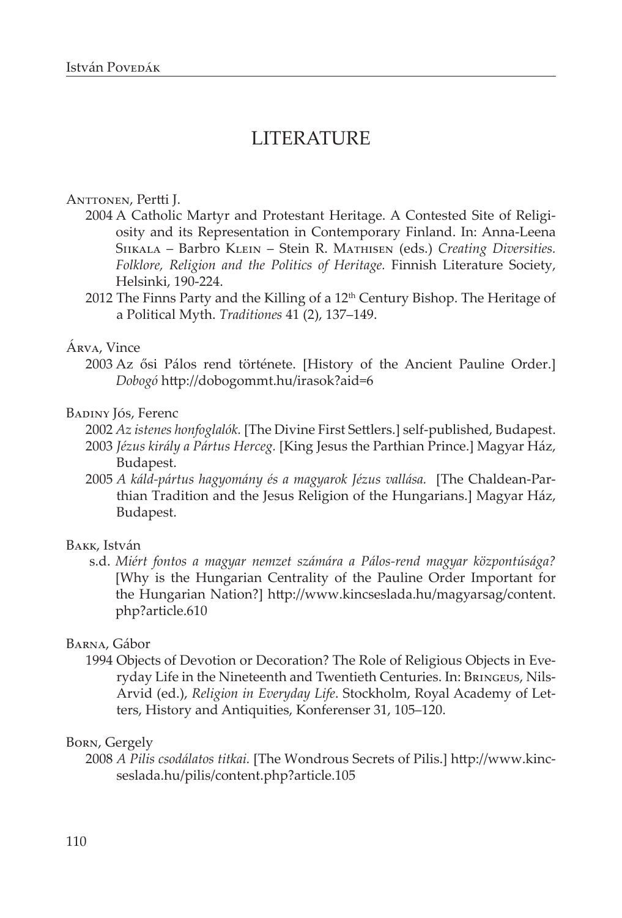# LITERATURE

### Anttonen, Pertti J.

- 2004 A Catholic Martyr and Protestant Heritage. A Contested Site of Religiosity and its Representation in Contemporary Finland. In: Anna-Leena Siikala – Barbro Klein – Stein R. Mathisen (eds.) *Creating Diversities. Folklore, Religion and the Politics of Heritage.* Finnish Literature Society, Helsinki, 190-224.
- 2012 The Finns Party and the Killing of a 12<sup>th</sup> Century Bishop. The Heritage of a Political Myth. *Traditiones* 41 (2), 137–149.

#### Árva, Vince

2003 Az ősi Pálos rend története. [History of the Ancient Pauline Order.] *Dobogó* http://dobogommt.hu/irasok?aid=6

#### Badiny Jós, Ferenc

- 2002 *Az istenes honfoglalók.* [The Divine First Settlers.] self-published, Budapest. 2003 *Jézus király a Pártus Herceg.* [King Jesus the Parthian Prince.] Magyar Ház, Budapest.
- 2005 *A káld-pártus hagyomány és a magyarok Jézus vallása.* [The Chaldean-Parthian Tradition and the Jesus Religion of the Hungarians.] Magyar Ház, Budapest.

## Bakk, István

s.d. *Miért fontos a magyar nemzet számára a Pálos-rend magyar központúsága?* [Why is the Hungarian Centrality of the Pauline Order Important for the Hungarian Nation?] http://www.kincseslada.hu/magyarsag/content. php?article.610

#### Barna, Gábor

1994 Objects of Devotion or Decoration? The Role of Religious Objects in Everyday Life in the Nineteenth and Twentieth Centuries. In: Bringeus, Nils-Arvid (ed.), *Religion in Everyday Life*. Stockholm, Royal Academy of Letters, History and Antiquities, Konferenser 31, 105–120.

#### Born, Gergely

2008 *A Pilis csodálatos titkai.* [The Wondrous Secrets of Pilis.] http://www.kincseslada.hu/pilis/content.php?article.105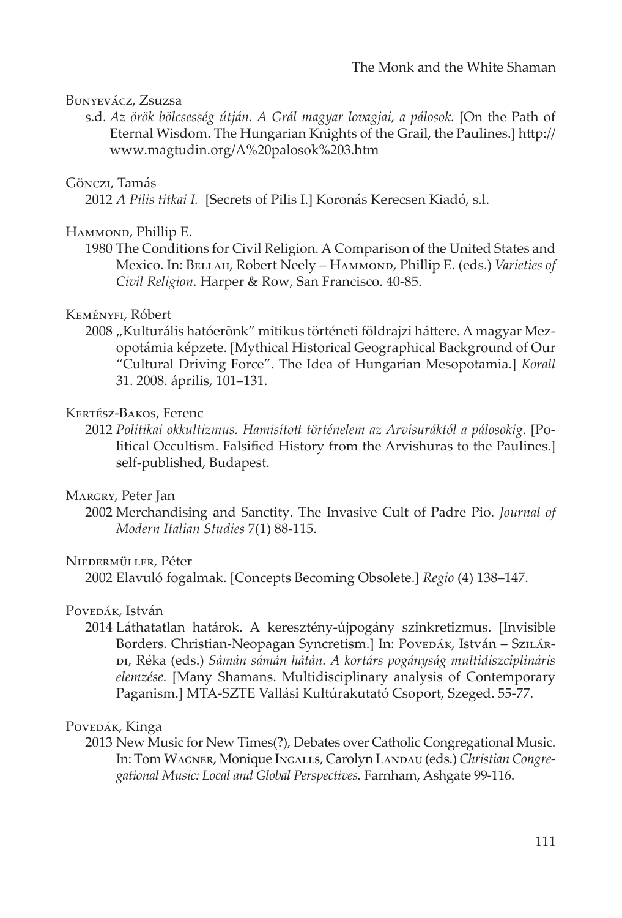## Bunyevácz, Zsuzsa

s.d. *Az örök bölcsesség útján. A Grál magyar lovagjai, a pálosok.* [On the Path of Eternal Wisdom. The Hungarian Knights of the Grail, the Paulines.] http:// www.magtudin.org/A%20palosok%203.htm

## Gönczi, Tamás

2012 *A Pilis titkai I.* [Secrets of Pilis I.] Koronás Kerecsen Kiadó, s.l.

#### HAMMOND, Phillip E.

1980 The Conditions for Civil Religion. A Comparison of the United States and Mexico. In: Bellah, Robert Neely – Hammond, Phillip E. (eds.) *Varieties of Civil Religion.* Harper & Row, San Francisco. 40-85.

#### Keményfi, Róbert

2008 "Kulturális hatóerõnk" mitikus történeti földrajzi háttere. A magyar Mezopotámia képzete. [Mythical Historical Geographical Background of Our "Cultural Driving Force". The Idea of Hungarian Mesopotamia.] *Korall* 31. 2008. április, 101–131.

## Kertész-Bakos, Ferenc

2012 *Politikai okkultizmus. Hamisított történelem az Arvisuráktól a pálosokig*. [Political Occultism. Falsified History from the Arvishuras to the Paulines.] self-published, Budapest.

#### Margry, Peter Jan

2002 Merchandising and Sanctity. The Invasive Cult of Padre Pio. *Journal of Modern Italian Studies* 7(1) 88-115.

#### Niedermüller, Péter

2002 Elavuló fogalmak. [Concepts Becoming Obsolete.] *Regio* (4) 138–147.

#### Povedák, István

2014 Láthatatlan határok. A keresztény-újpogány szinkretizmus. [Invisible Borders. Christian-Neopagan Syncretism.] In: Povepák, István – Szulárdi, Réka (eds.) *Sámán sámán hátán. A kortárs pogányság multidiszciplináris elemzése.* [Many Shamans. Multidisciplinary analysis of Contemporary Paganism.] MTA-SZTE Vallási Kultúrakutató Csoport, Szeged. 55-77.

## Povepák, Kinga

2013 New Music for New Times(?), Debates over Catholic Congregational Music. In: Tom Wagner, Monique Ingalls, Carolyn Landau (eds.) *Christian Congregational Music: Local and Global Perspectives.* Farnham, Ashgate 99-116.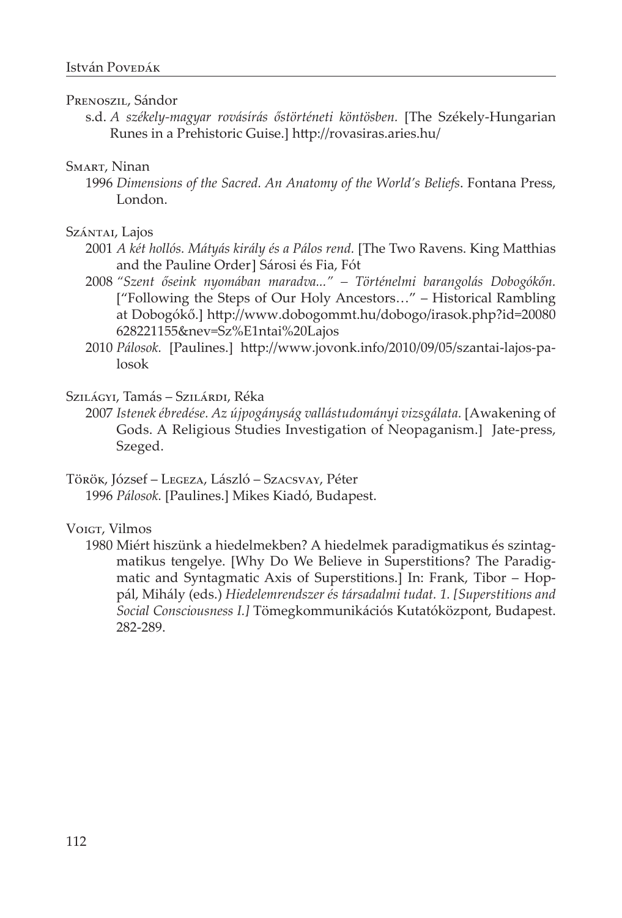## PRENOSZIL, Sándor

s.d. *A székely-magyar rovásírás őstörténeti köntösben.* [The Székely-Hungarian Runes in a Prehistoric Guise.] http://rovasiras.aries.hu/

#### Smart, Ninan

1996 *Dimensions of the Sacred. An Anatomy of the World's Beliefs*. Fontana Press, London.

#### Szántai, Lajos

- 2001 *A két hollós. Mátyás király és a Pálos rend.* [The Two Ravens. King Matthias and the Pauline Order] Sárosi és Fia, Fót
- 2008 *"Szent őseink nyomában maradva..." Történelmi barangolás Dobogókőn.*  ["Following the Steps of Our Holy Ancestors…" – Historical Rambling at Dobogókő.] http://www.dobogommt.hu/dobogo/irasok.php?id=20080 628221155&nev=Sz%E1ntai%20Lajos
- 2010 *Pálosok.* [Paulines.] http://www.jovonk.info/2010/09/05/szantai-lajos-palosok

## Szilágyi, Tamás – Szilárdi, Réka

- 2007 *Istenek ébredése. Az újpogányság vallástudományi vizsgálata.* [Awakening of Gods. A Religious Studies Investigation of Neopaganism.] Jate-press, Szeged.
- Török, József Legeza, László Szacsvay, Péter 1996 *Pálosok.* [Paulines.] Mikes Kiadó, Budapest.

#### Voigt, Vilmos

1980 Miért hiszünk a hiedelmekben? A hiedelmek paradigmatikus és szintagmatikus tengelye. [Why Do We Believe in Superstitions? The Paradigmatic and Syntagmatic Axis of Superstitions.] In: Frank, Tibor – Hoppál, Mihály (eds.) *Hiedelemrendszer és társadalmi tudat. 1. [Superstitions and Social Consciousness I.]* Tömegkommunikációs Kutatóközpont, Budapest. 282-289.